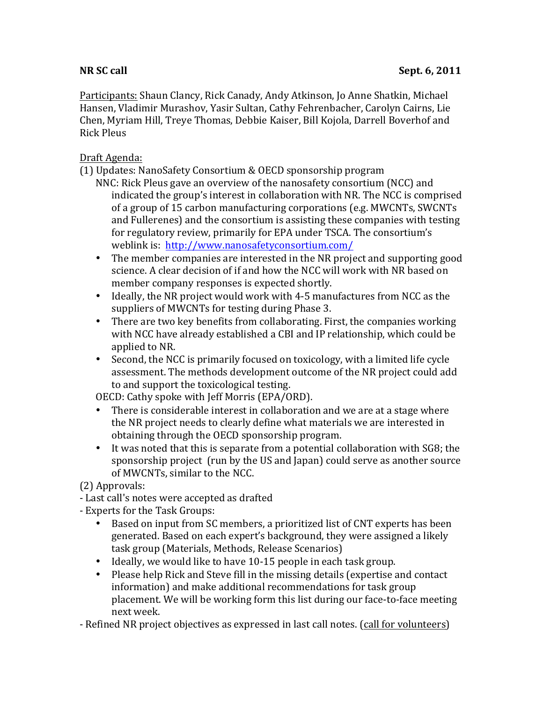Participants: Shaun Clancy, Rick Canady, Andy Atkinson, Jo Anne Shatkin, Michael Hansen, Vladimir Murashov, Yasir Sultan, Cathy Fehrenbacher, Carolyn Cairns, Lie Chen, Myriam Hill, Treye Thomas, Debbie Kaiser, Bill Kojola, Darrell Boverhof and Rick Pleus

## Draft Agenda:

(1) Updates: NanoSafety Consortium & OECD sponsorship program

- NNC: Rick Pleus gave an overview of the nanosafety consortium (NCC) and indicated the group's interest in collaboration with NR. The NCC is comprised of a group of 15 carbon manufacturing corporations (e.g. MWCNTs, SWCNTs and Fullerenes) and the consortium is assisting these companies with testing for regulatory review, primarily for EPA under TSCA. The consortium's weblink is: http://www.nanosafetyconsortium.com/
- The member companies are interested in the NR project and supporting good science. A clear decision of if and how the NCC will work with NR based on member company responses is expected shortly.
- Ideally, the NR project would work with 4-5 manufactures from NCC as the suppliers of MWCNTs for testing during Phase 3.
- There are two key benefits from collaborating. First, the companies working with NCC have already established a CBI and IP relationship, which could be applied to NR.
- Second, the NCC is primarily focused on toxicology, with a limited life cycle assessment. The methods development outcome of the NR project could add to and support the toxicological testing.

OECD: Cathy spoke with Jeff Morris (EPA/ORD).

- There is considerable interest in collaboration and we are at a stage where the NR project needs to clearly define what materials we are interested in obtaining through the OECD sponsorship program.
- It was noted that this is separate from a potential collaboration with SG8; the sponsorship project (run by the US and Japan) could serve as another source of MWCNTs, similar to the NCC.

(2) Approvals:

- Last call's notes were accepted as drafted
- Experts for the Task Groups:
	- Based on input from SC members, a prioritized list of CNT experts has been generated. Based on each expert's background, they were assigned a likely task group (Materials, Methods, Release Scenarios)
	- Ideally, we would like to have 10-15 people in each task group.
	- Please help Rick and Steve fill in the missing details (expertise and contact information) and make additional recommendations for task group placement. We will be working form this list during our face-to-face meeting next week.
- Refined NR project objectives as expressed in last call notes. (call for volunteers)